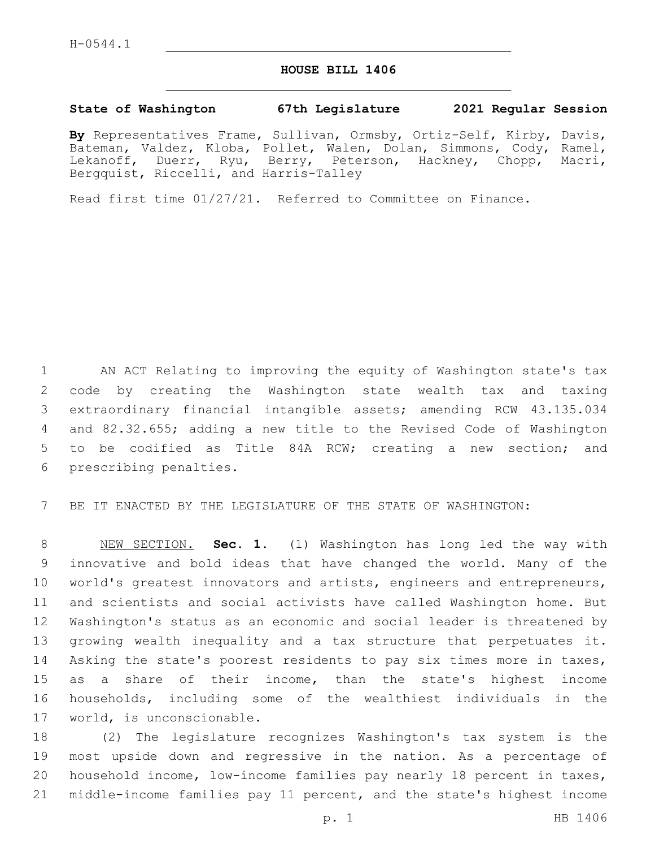## **HOUSE BILL 1406**

## **State of Washington 67th Legislature 2021 Regular Session**

**By** Representatives Frame, Sullivan, Ormsby, Ortiz-Self, Kirby, Davis, Bateman, Valdez, Kloba, Pollet, Walen, Dolan, Simmons, Cody, Ramel, Lekanoff, Duerr, Ryu, Berry, Peterson, Hackney, Chopp, Macri, Bergquist, Riccelli, and Harris-Talley

Read first time 01/27/21. Referred to Committee on Finance.

 AN ACT Relating to improving the equity of Washington state's tax code by creating the Washington state wealth tax and taxing extraordinary financial intangible assets; amending RCW 43.135.034 and 82.32.655; adding a new title to the Revised Code of Washington to be codified as Title 84A RCW; creating a new section; and 6 prescribing penalties.

BE IT ENACTED BY THE LEGISLATURE OF THE STATE OF WASHINGTON:

 NEW SECTION. **Sec. 1.** (1) Washington has long led the way with innovative and bold ideas that have changed the world. Many of the world's greatest innovators and artists, engineers and entrepreneurs, and scientists and social activists have called Washington home. But Washington's status as an economic and social leader is threatened by growing wealth inequality and a tax structure that perpetuates it. Asking the state's poorest residents to pay six times more in taxes, as a share of their income, than the state's highest income households, including some of the wealthiest individuals in the world, is unconscionable.

 (2) The legislature recognizes Washington's tax system is the most upside down and regressive in the nation. As a percentage of household income, low-income families pay nearly 18 percent in taxes, middle-income families pay 11 percent, and the state's highest income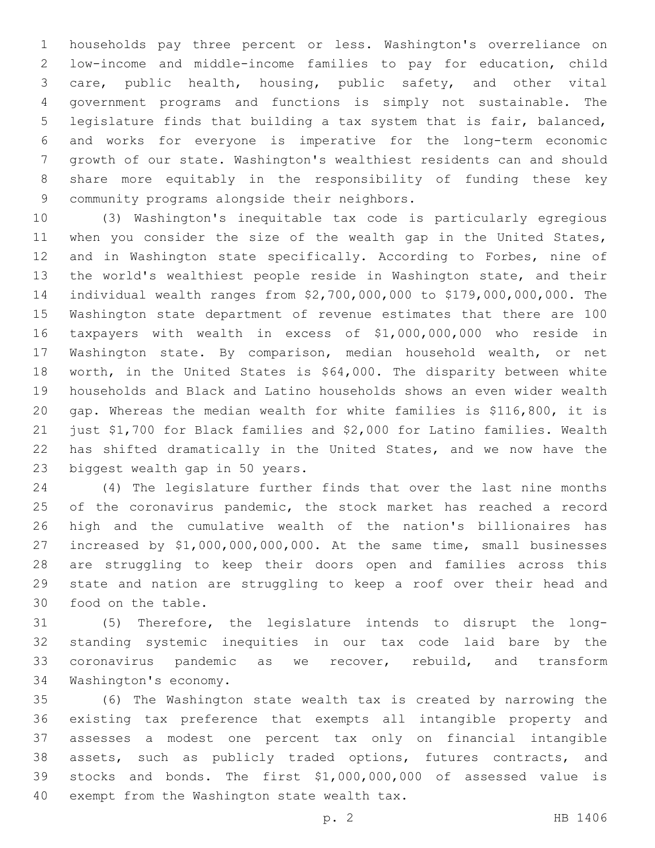households pay three percent or less. Washington's overreliance on low-income and middle-income families to pay for education, child care, public health, housing, public safety, and other vital government programs and functions is simply not sustainable. The legislature finds that building a tax system that is fair, balanced, and works for everyone is imperative for the long-term economic growth of our state. Washington's wealthiest residents can and should share more equitably in the responsibility of funding these key 9 community programs alongside their neighbors.

 (3) Washington's inequitable tax code is particularly egregious 11 when you consider the size of the wealth gap in the United States, and in Washington state specifically. According to Forbes, nine of the world's wealthiest people reside in Washington state, and their individual wealth ranges from \$2,700,000,000 to \$179,000,000,000. The Washington state department of revenue estimates that there are 100 taxpayers with wealth in excess of \$1,000,000,000 who reside in Washington state. By comparison, median household wealth, or net worth, in the United States is \$64,000. The disparity between white households and Black and Latino households shows an even wider wealth gap. Whereas the median wealth for white families is \$116,800, it is just \$1,700 for Black families and \$2,000 for Latino families. Wealth has shifted dramatically in the United States, and we now have the 23 biggest wealth gap in 50 years.

 (4) The legislature further finds that over the last nine months 25 of the coronavirus pandemic, the stock market has reached a record high and the cumulative wealth of the nation's billionaires has increased by \$1,000,000,000,000. At the same time, small businesses are struggling to keep their doors open and families across this state and nation are struggling to keep a roof over their head and 30 food on the table.

 (5) Therefore, the legislature intends to disrupt the long- standing systemic inequities in our tax code laid bare by the coronavirus pandemic as we recover, rebuild, and transform 34 Washington's economy.

 (6) The Washington state wealth tax is created by narrowing the existing tax preference that exempts all intangible property and assesses a modest one percent tax only on financial intangible assets, such as publicly traded options, futures contracts, and stocks and bonds. The first \$1,000,000,000 of assessed value is 40 exempt from the Washington state wealth tax.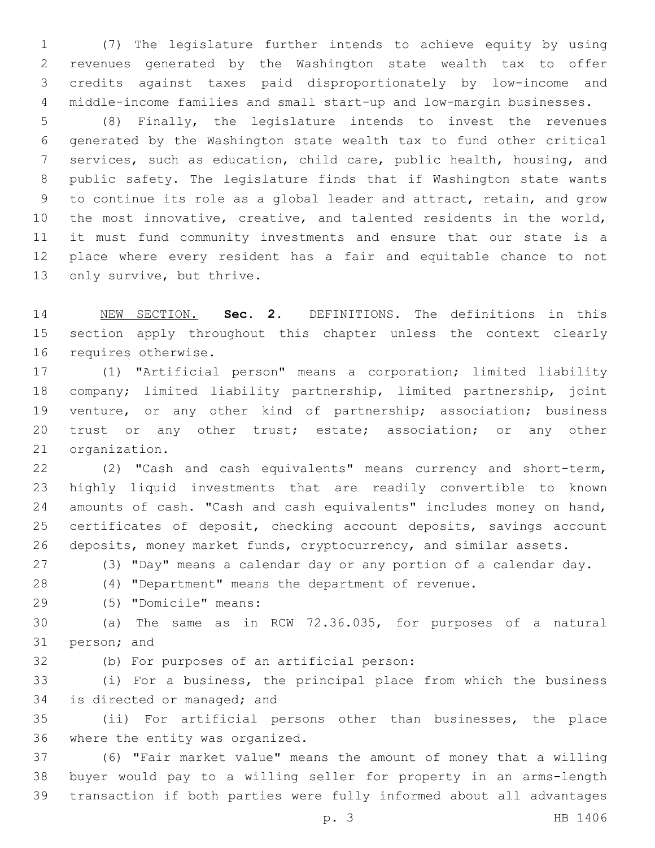(7) The legislature further intends to achieve equity by using revenues generated by the Washington state wealth tax to offer credits against taxes paid disproportionately by low-income and middle-income families and small start-up and low-margin businesses.

 (8) Finally, the legislature intends to invest the revenues generated by the Washington state wealth tax to fund other critical services, such as education, child care, public health, housing, and public safety. The legislature finds that if Washington state wants to continue its role as a global leader and attract, retain, and grow the most innovative, creative, and talented residents in the world, it must fund community investments and ensure that our state is a place where every resident has a fair and equitable chance to not 13 only survive, but thrive.

 NEW SECTION. **Sec. 2.** DEFINITIONS. The definitions in this section apply throughout this chapter unless the context clearly requires otherwise.

 (1) "Artificial person" means a corporation; limited liability company; limited liability partnership, limited partnership, joint venture, or any other kind of partnership; association; business 20 trust or any other trust; estate; association; or any other 21 organization.

 (2) "Cash and cash equivalents" means currency and short-term, highly liquid investments that are readily convertible to known 24 amounts of cash. "Cash and cash equivalents" includes money on hand, certificates of deposit, checking account deposits, savings account 26 deposits, money market funds, cryptocurrency, and similar assets.

(3) "Day" means a calendar day or any portion of a calendar day.

(4) "Department" means the department of revenue.

(5) "Domicile" means:29

 (a) The same as in RCW 72.36.035, for purposes of a natural 31 person; and

32 (b) For purposes of an artificial person:

 (i) For a business, the principal place from which the business 34 is directed or managed; and

 (ii) For artificial persons other than businesses, the place 36 where the entity was organized.

 (6) "Fair market value" means the amount of money that a willing buyer would pay to a willing seller for property in an arms-length transaction if both parties were fully informed about all advantages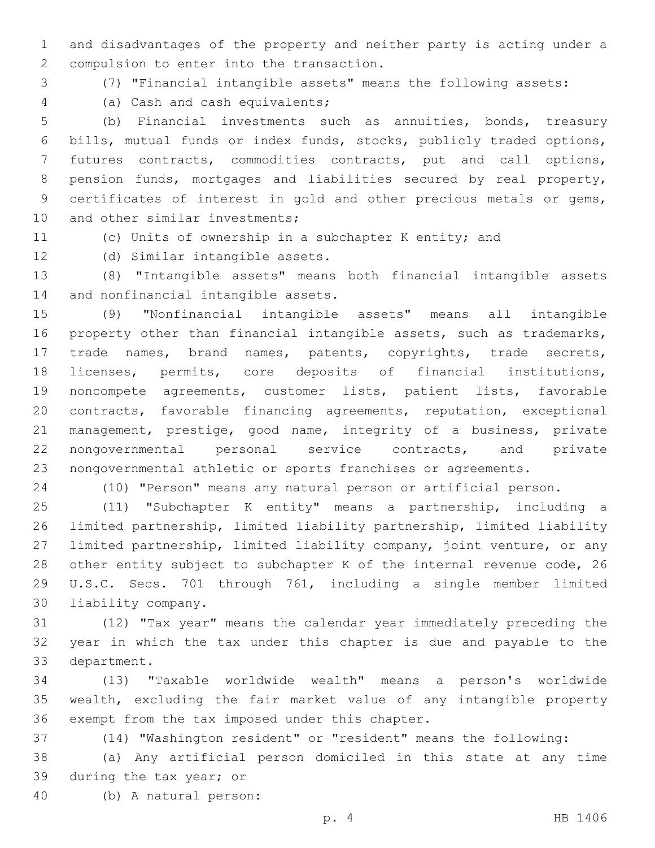and disadvantages of the property and neither party is acting under a 2 compulsion to enter into the transaction.

(7) "Financial intangible assets" means the following assets:

(a) Cash and cash equivalents;4

 (b) Financial investments such as annuities, bonds, treasury bills, mutual funds or index funds, stocks, publicly traded options, futures contracts, commodities contracts, put and call options, pension funds, mortgages and liabilities secured by real property, certificates of interest in gold and other precious metals or gems, 10 and other similar investments;

(c) Units of ownership in a subchapter K entity; and

12 (d) Similar intangible assets.

 (8) "Intangible assets" means both financial intangible assets 14 and nonfinancial intangible assets.

 (9) "Nonfinancial intangible assets" means all intangible property other than financial intangible assets, such as trademarks, trade names, brand names, patents, copyrights, trade secrets, licenses, permits, core deposits of financial institutions, noncompete agreements, customer lists, patient lists, favorable contracts, favorable financing agreements, reputation, exceptional management, prestige, good name, integrity of a business, private nongovernmental personal service contracts, and private nongovernmental athletic or sports franchises or agreements.

(10) "Person" means any natural person or artificial person.

 (11) "Subchapter K entity" means a partnership, including a limited partnership, limited liability partnership, limited liability limited partnership, limited liability company, joint venture, or any other entity subject to subchapter K of the internal revenue code, 26 U.S.C. Secs. 701 through 761, including a single member limited 30 liability company.

 (12) "Tax year" means the calendar year immediately preceding the year in which the tax under this chapter is due and payable to the 33 department.

 (13) "Taxable worldwide wealth" means a person's worldwide wealth, excluding the fair market value of any intangible property 36 exempt from the tax imposed under this chapter.

(14) "Washington resident" or "resident" means the following:

 (a) Any artificial person domiciled in this state at any time 39 during the tax year; or

(b) A natural person:40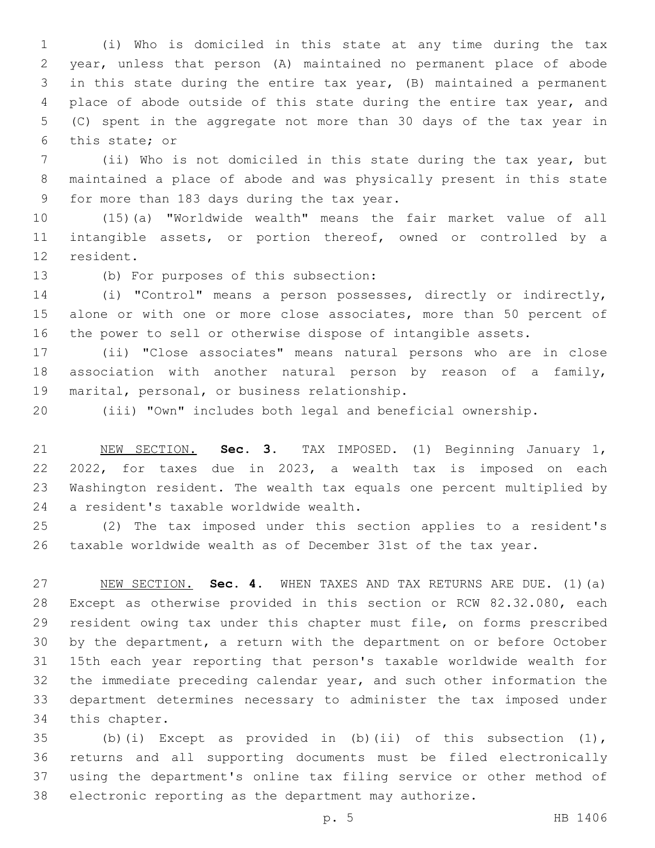(i) Who is domiciled in this state at any time during the tax year, unless that person (A) maintained no permanent place of abode in this state during the entire tax year, (B) maintained a permanent place of abode outside of this state during the entire tax year, and (C) spent in the aggregate not more than 30 days of the tax year in 6 this state; or

 (ii) Who is not domiciled in this state during the tax year, but maintained a place of abode and was physically present in this state 9 for more than 183 days during the tax year.

 (15)(a) "Worldwide wealth" means the fair market value of all intangible assets, or portion thereof, owned or controlled by a 12 resident.

13 (b) For purposes of this subsection:

 (i) "Control" means a person possesses, directly or indirectly, 15 alone or with one or more close associates, more than 50 percent of the power to sell or otherwise dispose of intangible assets.

 (ii) "Close associates" means natural persons who are in close association with another natural person by reason of a family, 19 marital, personal, or business relationship.

(iii) "Own" includes both legal and beneficial ownership.

 NEW SECTION. **Sec. 3.** TAX IMPOSED. (1) Beginning January 1, 2022, for taxes due in 2023, a wealth tax is imposed on each Washington resident. The wealth tax equals one percent multiplied by a resident's taxable worldwide wealth.

 (2) The tax imposed under this section applies to a resident's taxable worldwide wealth as of December 31st of the tax year.

 NEW SECTION. **Sec. 4.** WHEN TAXES AND TAX RETURNS ARE DUE. (1)(a) Except as otherwise provided in this section or RCW 82.32.080, each resident owing tax under this chapter must file, on forms prescribed by the department, a return with the department on or before October 15th each year reporting that person's taxable worldwide wealth for the immediate preceding calendar year, and such other information the department determines necessary to administer the tax imposed under this chapter.

 (b)(i) Except as provided in (b)(ii) of this subsection (1), returns and all supporting documents must be filed electronically using the department's online tax filing service or other method of electronic reporting as the department may authorize.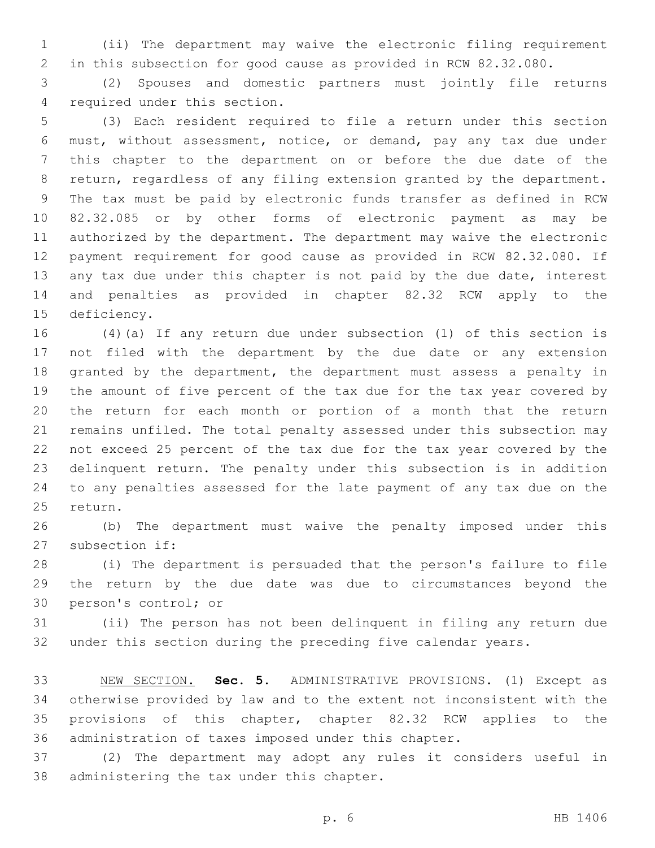(ii) The department may waive the electronic filing requirement in this subsection for good cause as provided in RCW 82.32.080.

 (2) Spouses and domestic partners must jointly file returns 4 required under this section.

 (3) Each resident required to file a return under this section must, without assessment, notice, or demand, pay any tax due under this chapter to the department on or before the due date of the return, regardless of any filing extension granted by the department. The tax must be paid by electronic funds transfer as defined in RCW 82.32.085 or by other forms of electronic payment as may be authorized by the department. The department may waive the electronic payment requirement for good cause as provided in RCW 82.32.080. If 13 any tax due under this chapter is not paid by the due date, interest and penalties as provided in chapter 82.32 RCW apply to the 15 deficiency.

 (4)(a) If any return due under subsection (1) of this section is not filed with the department by the due date or any extension granted by the department, the department must assess a penalty in the amount of five percent of the tax due for the tax year covered by the return for each month or portion of a month that the return remains unfiled. The total penalty assessed under this subsection may not exceed 25 percent of the tax due for the tax year covered by the delinquent return. The penalty under this subsection is in addition to any penalties assessed for the late payment of any tax due on the 25 return.

 (b) The department must waive the penalty imposed under this 27 subsection if:

 (i) The department is persuaded that the person's failure to file the return by the due date was due to circumstances beyond the 30 person's control; or

 (ii) The person has not been delinquent in filing any return due under this section during the preceding five calendar years.

 NEW SECTION. **Sec. 5.** ADMINISTRATIVE PROVISIONS. (1) Except as otherwise provided by law and to the extent not inconsistent with the provisions of this chapter, chapter 82.32 RCW applies to the administration of taxes imposed under this chapter.

 (2) The department may adopt any rules it considers useful in 38 administering the tax under this chapter.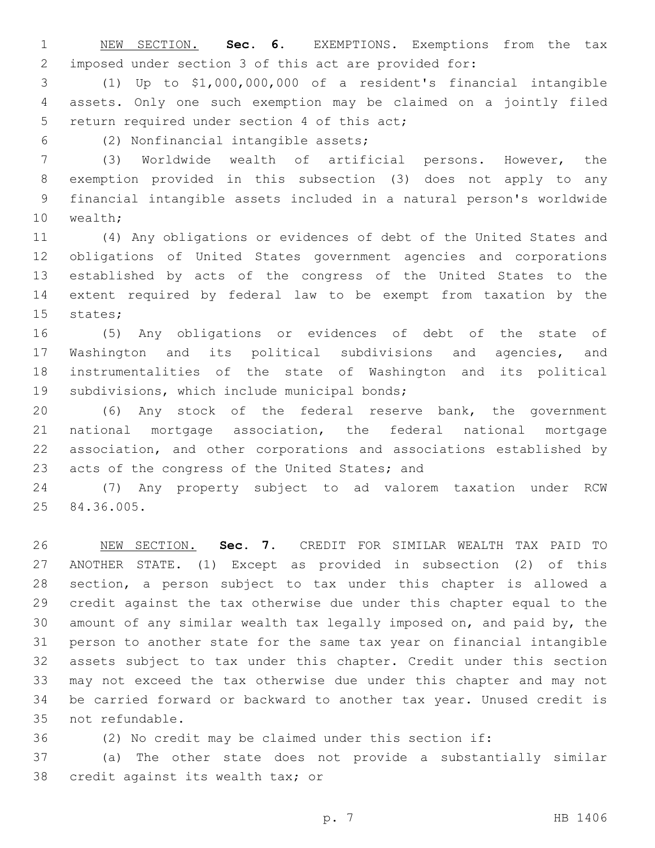NEW SECTION. **Sec. 6.** EXEMPTIONS. Exemptions from the tax imposed under section 3 of this act are provided for:

 (1) Up to \$1,000,000,000 of a resident's financial intangible assets. Only one such exemption may be claimed on a jointly filed 5 return required under section 4 of this act;

(2) Nonfinancial intangible assets;6

 (3) Worldwide wealth of artificial persons. However, the exemption provided in this subsection (3) does not apply to any financial intangible assets included in a natural person's worldwide 10 wealth;

 (4) Any obligations or evidences of debt of the United States and obligations of United States government agencies and corporations established by acts of the congress of the United States to the extent required by federal law to be exempt from taxation by the 15 states;

 (5) Any obligations or evidences of debt of the state of Washington and its political subdivisions and agencies, and instrumentalities of the state of Washington and its political 19 subdivisions, which include municipal bonds;

 (6) Any stock of the federal reserve bank, the government national mortgage association, the federal national mortgage association, and other corporations and associations established by 23 acts of the congress of the United States; and

 (7) Any property subject to ad valorem taxation under RCW 25 84.36.005.

 NEW SECTION. **Sec. 7.** CREDIT FOR SIMILAR WEALTH TAX PAID TO ANOTHER STATE. (1) Except as provided in subsection (2) of this section, a person subject to tax under this chapter is allowed a credit against the tax otherwise due under this chapter equal to the amount of any similar wealth tax legally imposed on, and paid by, the person to another state for the same tax year on financial intangible assets subject to tax under this chapter. Credit under this section may not exceed the tax otherwise due under this chapter and may not be carried forward or backward to another tax year. Unused credit is not refundable.

(2) No credit may be claimed under this section if:

 (a) The other state does not provide a substantially similar 38 credit against its wealth tax; or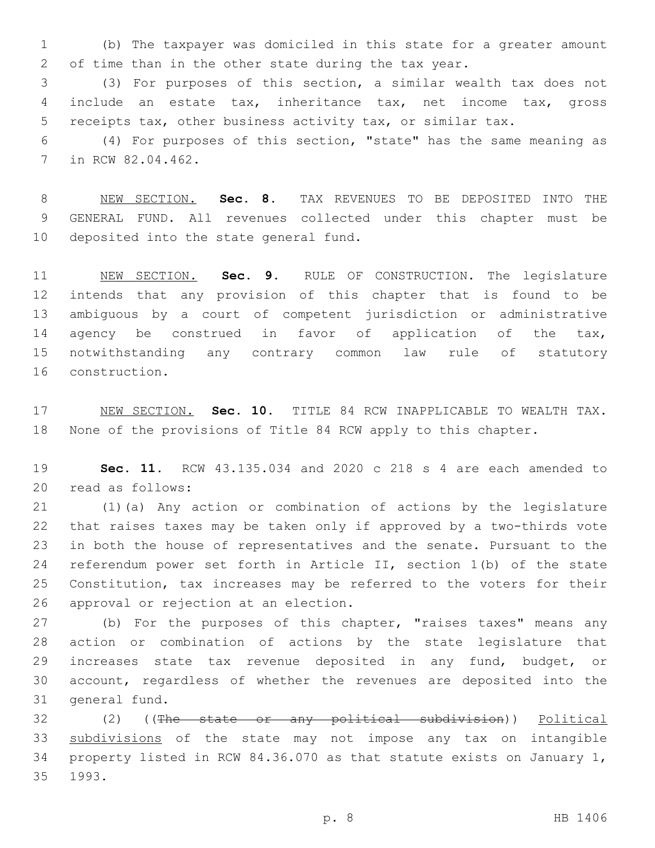(b) The taxpayer was domiciled in this state for a greater amount of time than in the other state during the tax year.

 (3) For purposes of this section, a similar wealth tax does not include an estate tax, inheritance tax, net income tax, gross receipts tax, other business activity tax, or similar tax.

 (4) For purposes of this section, "state" has the same meaning as 7 in RCW 82.04.462.

 NEW SECTION. **Sec. 8.** TAX REVENUES TO BE DEPOSITED INTO THE GENERAL FUND. All revenues collected under this chapter must be deposited into the state general fund.

 NEW SECTION. **Sec. 9.** RULE OF CONSTRUCTION. The legislature intends that any provision of this chapter that is found to be ambiguous by a court of competent jurisdiction or administrative 14 agency be construed in favor of application of the tax, notwithstanding any contrary common law rule of statutory construction.

 NEW SECTION. **Sec. 10.** TITLE 84 RCW INAPPLICABLE TO WEALTH TAX. None of the provisions of Title 84 RCW apply to this chapter.

 **Sec. 11.** RCW 43.135.034 and 2020 c 218 s 4 are each amended to read as follows:20

 (1)(a) Any action or combination of actions by the legislature that raises taxes may be taken only if approved by a two-thirds vote in both the house of representatives and the senate. Pursuant to the referendum power set forth in Article II, section 1(b) of the state Constitution, tax increases may be referred to the voters for their 26 approval or rejection at an election.

 (b) For the purposes of this chapter, "raises taxes" means any action or combination of actions by the state legislature that increases state tax revenue deposited in any fund, budget, or account, regardless of whether the revenues are deposited into the 31 general fund.

 (2) ((The state or any political subdivision)) Political subdivisions of the state may not impose any tax on intangible property listed in RCW 84.36.070 as that statute exists on January 1, 35 1993.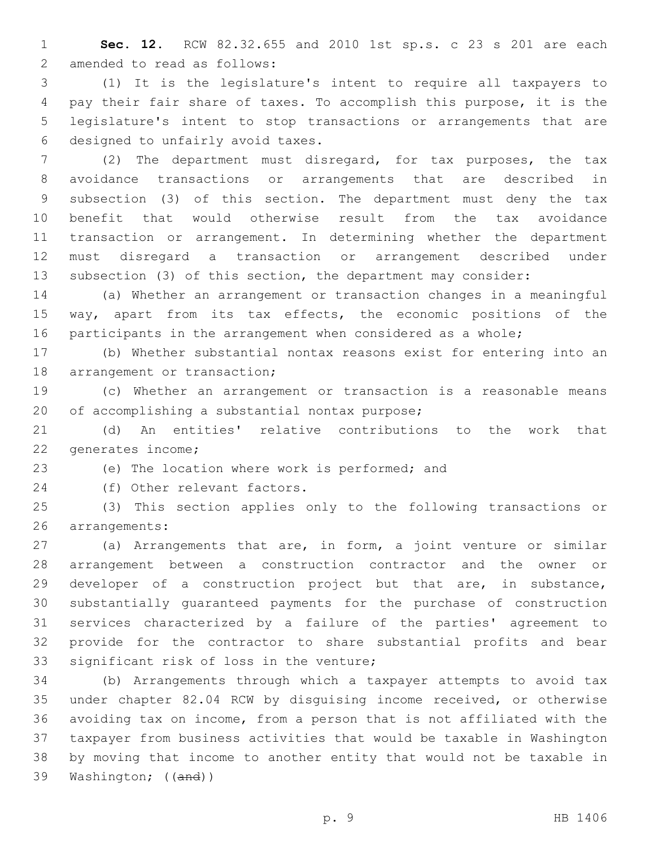**Sec. 12.** RCW 82.32.655 and 2010 1st sp.s. c 23 s 201 are each 2 amended to read as follows:

 (1) It is the legislature's intent to require all taxpayers to pay their fair share of taxes. To accomplish this purpose, it is the legislature's intent to stop transactions or arrangements that are 6 designed to unfairly avoid taxes.

 (2) The department must disregard, for tax purposes, the tax avoidance transactions or arrangements that are described in subsection (3) of this section. The department must deny the tax benefit that would otherwise result from the tax avoidance transaction or arrangement. In determining whether the department must disregard a transaction or arrangement described under subsection (3) of this section, the department may consider:

 (a) Whether an arrangement or transaction changes in a meaningful way, apart from its tax effects, the economic positions of the participants in the arrangement when considered as a whole;

 (b) Whether substantial nontax reasons exist for entering into an 18 arrangement or transaction;

 (c) Whether an arrangement or transaction is a reasonable means 20 of accomplishing a substantial nontax purpose;

 (d) An entities' relative contributions to the work that 22 generates income;

23 (e) The location where work is performed; and

24 (f) Other relevant factors.

 (3) This section applies only to the following transactions or 26 arrangements:

 (a) Arrangements that are, in form, a joint venture or similar arrangement between a construction contractor and the owner or developer of a construction project but that are, in substance, substantially guaranteed payments for the purchase of construction services characterized by a failure of the parties' agreement to provide for the contractor to share substantial profits and bear 33 significant risk of loss in the venture;

 (b) Arrangements through which a taxpayer attempts to avoid tax under chapter 82.04 RCW by disguising income received, or otherwise avoiding tax on income, from a person that is not affiliated with the taxpayer from business activities that would be taxable in Washington by moving that income to another entity that would not be taxable in Washington; ((and))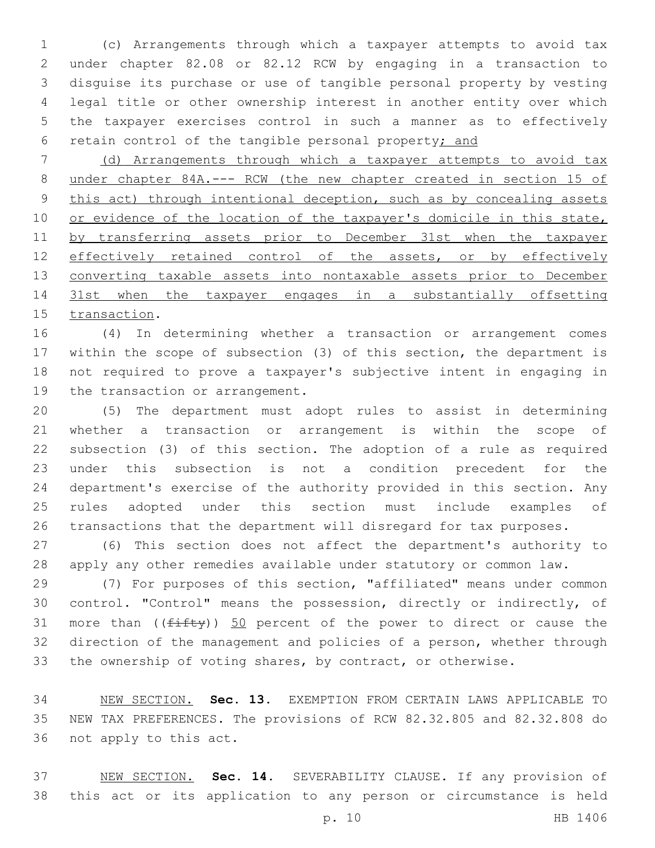(c) Arrangements through which a taxpayer attempts to avoid tax under chapter 82.08 or 82.12 RCW by engaging in a transaction to disguise its purchase or use of tangible personal property by vesting legal title or other ownership interest in another entity over which the taxpayer exercises control in such a manner as to effectively retain control of the tangible personal property; and

 (d) Arrangements through which a taxpayer attempts to avoid tax under chapter 84A.--- RCW (the new chapter created in section 15 of 9 this act) through intentional deception, such as by concealing assets 10 or evidence of the location of the taxpayer's domicile in this state, by transferring assets prior to December 31st when the taxpayer 12 effectively retained control of the assets, or by effectively 13 converting taxable assets into nontaxable assets prior to December 31st when the taxpayer engages in a substantially offsetting 15 transaction.

 (4) In determining whether a transaction or arrangement comes within the scope of subsection (3) of this section, the department is not required to prove a taxpayer's subjective intent in engaging in 19 the transaction or arrangement.

 (5) The department must adopt rules to assist in determining whether a transaction or arrangement is within the scope of subsection (3) of this section. The adoption of a rule as required under this subsection is not a condition precedent for the department's exercise of the authority provided in this section. Any rules adopted under this section must include examples of transactions that the department will disregard for tax purposes.

 (6) This section does not affect the department's authority to apply any other remedies available under statutory or common law.

 (7) For purposes of this section, "affiliated" means under common control. "Control" means the possession, directly or indirectly, of 31 more than  $(\sqrt{f\text{ifty}})$  50 percent of the power to direct or cause the direction of the management and policies of a person, whether through the ownership of voting shares, by contract, or otherwise.

 NEW SECTION. **Sec. 13.** EXEMPTION FROM CERTAIN LAWS APPLICABLE TO NEW TAX PREFERENCES. The provisions of RCW 82.32.805 and 82.32.808 do not apply to this act.

 NEW SECTION. **Sec. 14.** SEVERABILITY CLAUSE. If any provision of this act or its application to any person or circumstance is held